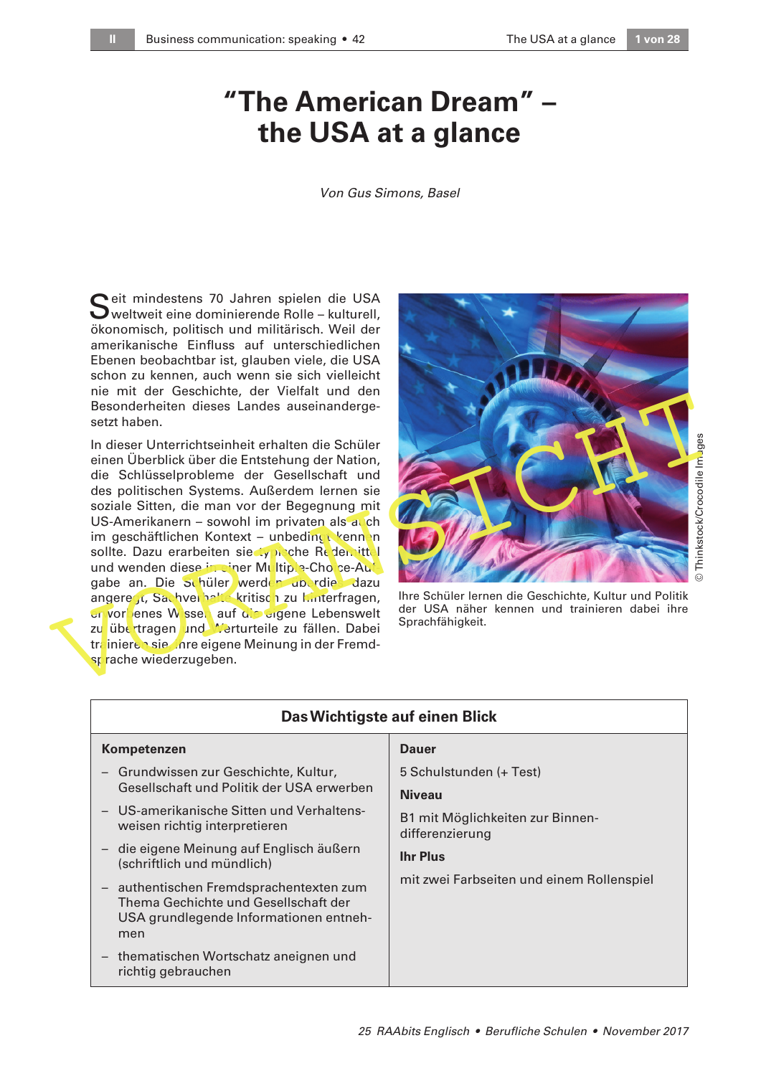# **"The American Dream" – the USA at a glance**

Von Gus Simons, Basel

Seit mindestens 70 Jahren spielen die USA<br>Weltweit eine dominierende Rolle – kulturell, eit mindestens 70 Jahren spielen die USA ökonomisch, politisch und militärisch. Weil der amerikanische Einfluss auf unterschiedlichen Ebenen beobachtbar ist, glauben viele, die USA schon zu kennen, auch wenn sie sich vielleicht nie mit der Geschichte, der Vielfalt und den Besonderheiten dieses Landes auseinandergesetzt haben.

In dieser Unterrichtseinheit erhalten die Schüler einen Überblick über die Entstehung der Nation, die Schlüsselprobleme der Gesellschaft und des politischen Systems. Außerdem lernen sie soziale Sitten, die man vor der Begegnung mit US-Amerikanern – sowohl im privaten als  $a\sqrt{c}$ h im geschäftlichen Kontext – unbedingt kennen sollte. Dazu erarbeiten sie typische Redemittel und wenden diese in einer Multiple-Choice-Aufgabe an. Die Schüler werden uberdies dazu angeregt, Sachverhalte kritisch zu hinterfragen, er vorbenes Wissen auf die eigene Lebenswelt zu übertragen und Merturteile zu fällen. Dabei trainieren sie ihre eigene Meinung in der Fremdsprache wiederzugeben. mei der Unterlichten diese Unterlichten die Schulen (Besonderheiten dieses Landes auseinanderge-<br>
In dieser Unterrichtseinheit erhalten die Schüler<br>
einen Überblick über die Entstehung der Nation,<br>
die Schlüsselprobleme de



© Thinkstock/Crocodile Images

Ihre Schüler lernen die Geschichte, Kultur und Politik der USA näher kennen und trainieren dabei ihre

| Das Wichtigste auf einen Blick                                                                                                   |                                                     |
|----------------------------------------------------------------------------------------------------------------------------------|-----------------------------------------------------|
| Kompetenzen                                                                                                                      | <b>Dauer</b>                                        |
| - Grundwissen zur Geschichte, Kultur,                                                                                            | 5 Schulstunden (+ Test)                             |
| Gesellschaft und Politik der USA erwerben                                                                                        | <b>Niveau</b>                                       |
| - US-amerikanische Sitten und Verhaltens-<br>weisen richtig interpretieren                                                       | B1 mit Möglichkeiten zur Binnen-<br>differenzierung |
| - die eigene Meinung auf Englisch äußern<br>(schriftlich und mündlich)                                                           | <b>Ihr Plus</b>                                     |
| - authentischen Fremdsprachentexten zum<br>Thema Gechichte und Gesellschaft der<br>USA grundlegende Informationen entneh-<br>men | mit zwei Farbseiten und einem Rollenspiel           |
| thematischen Wortschatz aneignen und<br>richtig gebrauchen                                                                       |                                                     |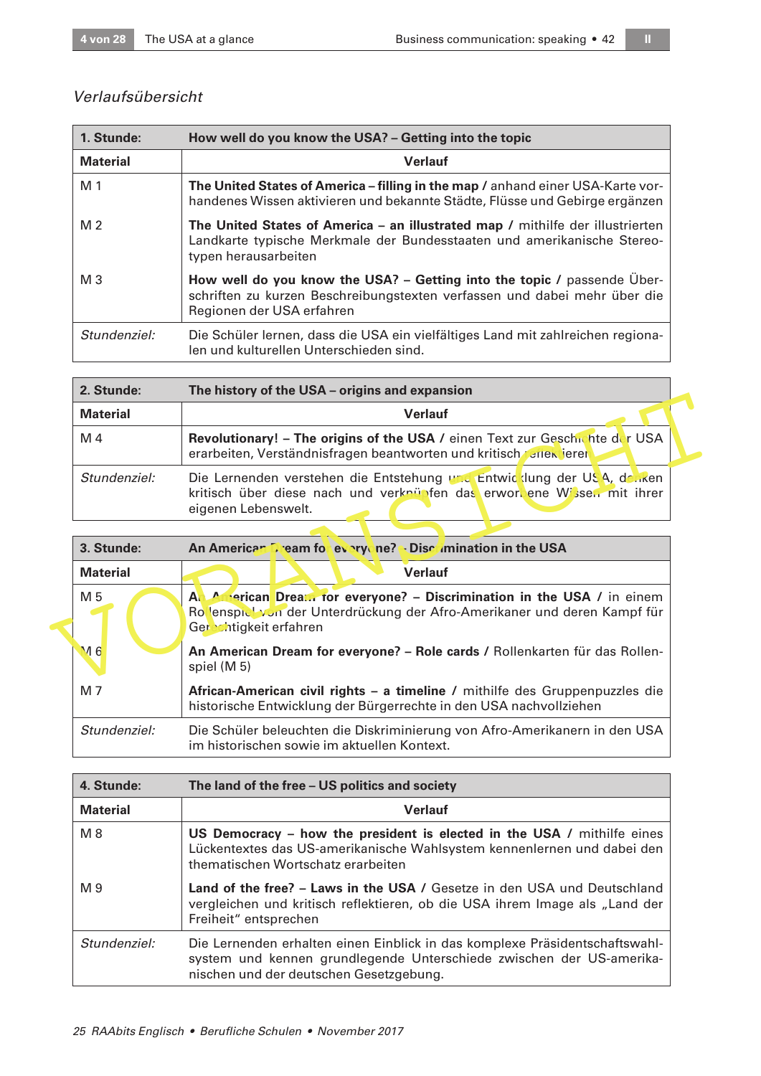# Verlaufsübersicht

| 1. Stunde:      | How well do you know the USA? - Getting into the topic                                                                                                                            |
|-----------------|-----------------------------------------------------------------------------------------------------------------------------------------------------------------------------------|
| <b>Material</b> | <b>Verlauf</b>                                                                                                                                                                    |
| M 1             | The United States of America – filling in the map / anhand einer USA-Karte vor-<br>handenes Wissen aktivieren und bekannte Städte, Flüsse und Gebirge ergänzen                    |
| M <sub>2</sub>  | The United States of America – an illustrated map / mithilfe der illustrierten<br>Landkarte typische Merkmale der Bundesstaaten und amerikanische Stereo-<br>typen herausarbeiten |
| $M_3$           | How well do you know the USA? – Getting into the topic / passende Uber-<br>schriften zu kurzen Beschreibungstexten verfassen und dabei mehr über die<br>Regionen der USA erfahren |
| Stundenziel:    | Die Schüler lernen, dass die USA ein vielfältiges Land mit zahlreichen regiona-<br>len und kulturellen Unterschieden sind.                                                        |

| 2. Stunde:      | The history of the USA – origins and expansion                                                                                                                           |
|-----------------|--------------------------------------------------------------------------------------------------------------------------------------------------------------------------|
| <b>Material</b> | <b>Verlauf</b>                                                                                                                                                           |
| M 4             | Revolutionary! - The origins of the USA / einen Text zur Geschichte der USA<br>erarbeiten, Verständnisfragen beantworten und kritisch rener ieren                        |
| Stundenziel:    | Die Lernenden verstehen die Entstehung und Entwicklung der USA, den ken<br>kritisch über diese nach und verknüpfen das erwortene Wissen mit ihrer<br>eigenen Lebenswelt. |

|                 | $110$ $11000$ , $1$ $1000$ , $1000$ , $1000$ , $1000$ , $1000$ , $1000$                                                                                                      |  |
|-----------------|------------------------------------------------------------------------------------------------------------------------------------------------------------------------------|--|
| <b>Material</b> | <b>Verlauf</b>                                                                                                                                                               |  |
| M 4             | Revolutionary! - The origins of the USA / einen Text zur Geschichte der USA<br>erarbeiten, Verständnisfragen beantworten und kritisch Zeiten jeren                           |  |
| Stundenziel:    | Die Lernenden verstehen die Entstehung und Entwicklung der USA, denken<br>kritisch über diese nach und verknüpfen das erwortene Wissen mit ihrer<br>eigenen Lebenswelt.      |  |
|                 |                                                                                                                                                                              |  |
| 3. Stunde:      | An American Dream for everyone? Discumination in the USA                                                                                                                     |  |
| <b>Material</b> | <b>Verlauf</b>                                                                                                                                                               |  |
| M 5             | An American Dream for everyone? – Discrimination in the USA / in einem<br>Rolenspick von der Unterdrückung der Afro-Amerikaner und deren Kampf für<br>Gerechtigkeit erfahren |  |
| M <sub>6</sub>  | An American Dream for everyone? - Role cards / Rollenkarten für das Rollen-<br>spiel (M 5)                                                                                   |  |
| M 7             | African-American civil rights – a timeline / mithilfe des Gruppenpuzzles die<br>historische Entwicklung der Bürgerrechte in den USA nachvollziehen                           |  |
| Stundenziel:    | Die Schüler beleuchten die Diskriminierung von Afro-Amerikanern in den USA<br>im historischen sowie im aktuellen Kontext.                                                    |  |
|                 |                                                                                                                                                                              |  |

| 4. Stunde:      | The land of the free - US politics and society                                                                                                                                                 |
|-----------------|------------------------------------------------------------------------------------------------------------------------------------------------------------------------------------------------|
| <b>Material</b> | <b>Verlauf</b>                                                                                                                                                                                 |
| M8              | US Democracy - how the president is elected in the USA / mithilfe eines<br>Lückentextes das US-amerikanische Wahlsystem kennenlernen und dabei den<br>thematischen Wortschatz erarbeiten       |
| M 9             | Land of the free? - Laws in the USA / Gesetze in den USA und Deutschland<br>vergleichen und kritisch reflektieren, ob die USA ihrem Image als "Land der<br>Freiheit" entsprechen               |
| Stundenziel:    | Die Lernenden erhalten einen Einblick in das komplexe Präsidentschaftswahl-<br>system und kennen grundlegende Unterschiede zwischen der US-amerika-<br>nischen und der deutschen Gesetzgebung. |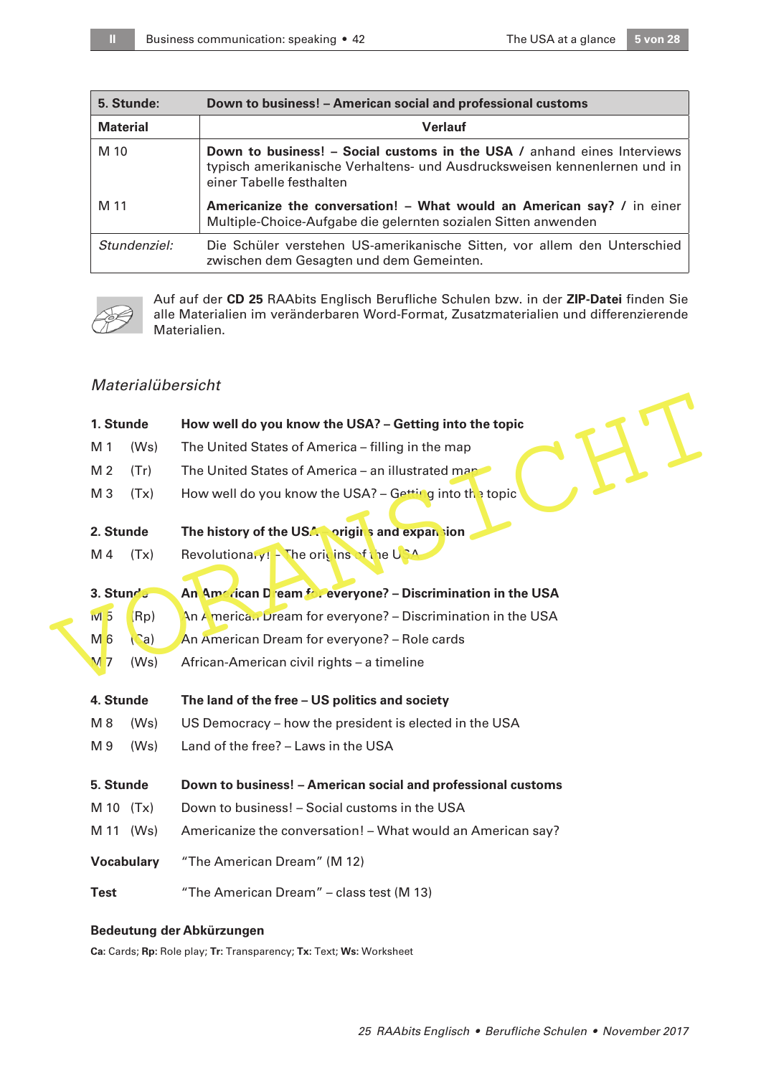| 5. Stunde:      | Down to business! – American social and professional customs                                                                                                                            |
|-----------------|-----------------------------------------------------------------------------------------------------------------------------------------------------------------------------------------|
| <b>Material</b> | <b>Verlauf</b>                                                                                                                                                                          |
| M 10            | <b>Down to business! – Social customs in the USA / anhand eines Interviews</b><br>typisch amerikanische Verhaltens- und Ausdrucksweisen kennenlernen und in<br>einer Tabelle festhalten |
| M 11            | Americanize the conversation! - What would an American say? / in einer<br>Multiple-Choice-Aufgabe die gelernten sozialen Sitten anwenden                                                |
| Stundenziel:    | Die Schüler verstehen US-amerikanische Sitten, vor allem den Unterschied<br>zwischen dem Gesagten und dem Gemeinten.                                                                    |



Auf auf der **CD 25** RAAbits Englisch Berufliche Schulen bzw. in der **ZIP-Datei** finden Sie alle Materialien im veränderbaren Word-Format, Zusatzmaterialien und differenzierende Materialien.

# Materialübersicht

|                |                | How well do you know the USA? - Getting into the topic                                             |
|----------------|----------------|----------------------------------------------------------------------------------------------------|
| M 1            | (Ws)           | The United States of America - filling in the map                                                  |
| M <sub>2</sub> | (Tr)           | The United States of America - an illustrated man                                                  |
| M <sub>3</sub> | (Tx)           | How well do you know the USA? – Getting into the topic                                             |
|                |                | The history of the USA prigin's and expansion                                                      |
| M 4            | (Tx)           | Revolutionaly! - The oricins of the USA                                                            |
|                |                | An American Dieam frie everyone? - Discrimination in the USA                                       |
| N15            | Rp)            | An America. Dream for everyone? – Discrimination in the USA                                        |
| $M_6$          | $\binom{c}{a}$ | An American Dream for everyone? - Role cards                                                       |
| M <sub>7</sub> | (Ws)           | African-American civil rights - a timeline                                                         |
|                |                | The land of the free - US politics and society                                                     |
| M8             | (Ws)           | US Democracy – how the president is elected in the USA                                             |
| M 9            | (Ws)           | Land of the free? - Laws in the USA                                                                |
|                |                | Down to business! - American social and professional customs                                       |
|                | (Tx)           | Down to business! - Social customs in the USA                                                      |
|                | (Ws)           | Americanize the conversation! - What would an American say?                                        |
|                |                | "The American Dream" (M 12)                                                                        |
| <b>Test</b>    |                | "The American Dream" - class test (M 13)                                                           |
|                |                | 1. Stunde<br>2. Stunde<br>3. Stunde<br>4. Stunde<br>5. Stunde<br>M 10<br>M 11<br><b>Vocabulary</b> |

### **Bedeutung der Abkürzungen**

**Ca:** Cards; **Rp:** Role play; **Tr:** Transparency; **Tx:** Text; **Ws:** Worksheet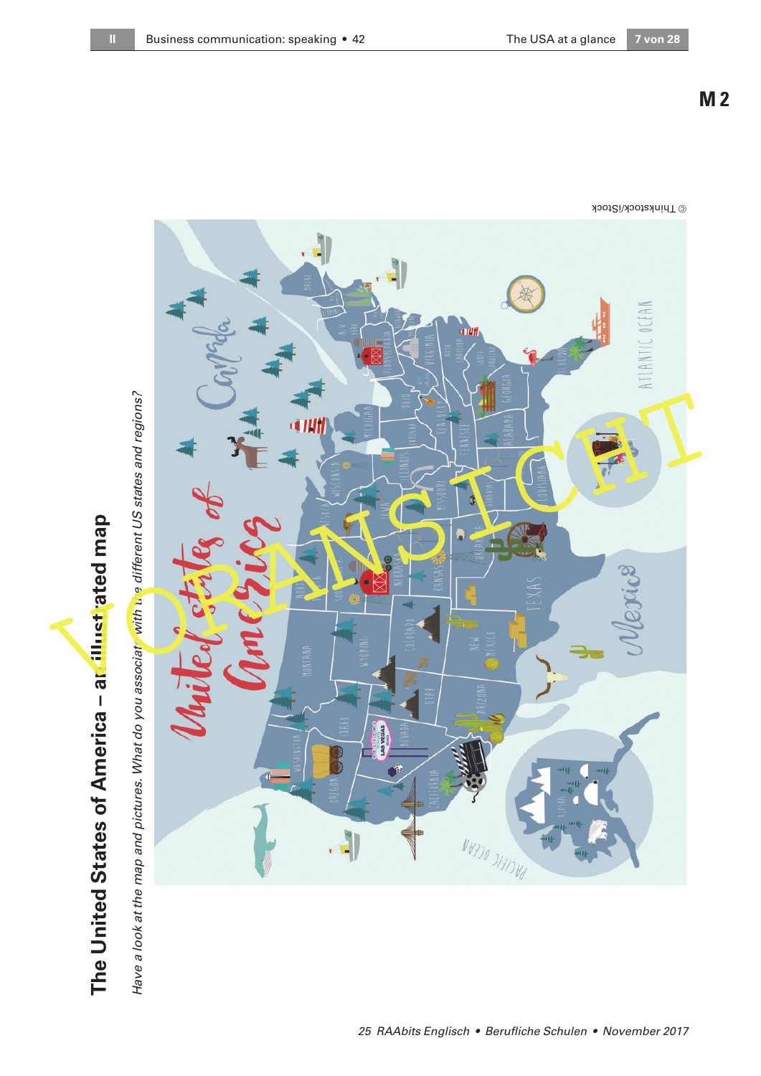Have a look at the map and pictures. What do you associate with the different US states and regions?



25 RAAbits Englisch • Berufliche Schulen • November 2017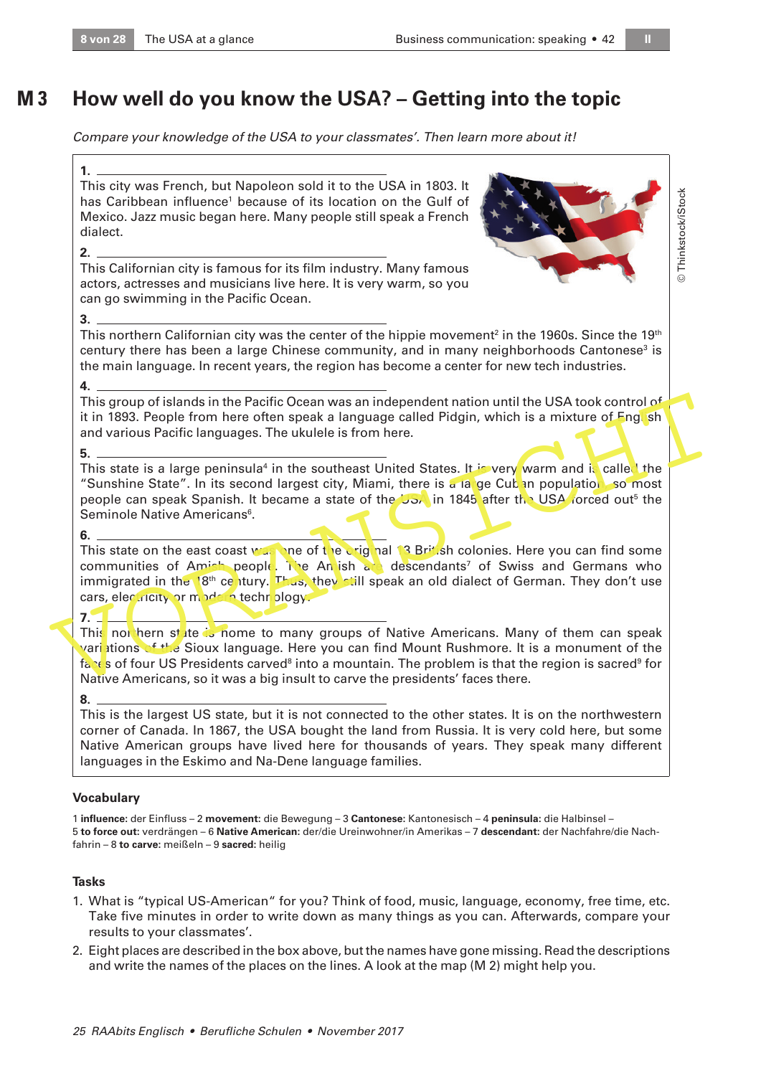#### **How well do you know the USA? – Getting into the topic M 3**

Compare your knowledge of the USA to your classmates'. Then learn more about it!

**1.**  This city was French, but Napoleon sold it to the USA in 1803. It has Caribbean influence<sup>1</sup> because of its location on the Gulf of Mexico. Jazz music began here. Many people still speak a French dialect.

#### **2.**

This Californian city is famous for its film industry. Many famous actors, actresses and musicians live here. It is very warm, so you can go swimming in the Pacific Ocean.



© Thinkstock/iStock Thinkstock/iStock

#### **3.**

This northern Californian city was the center of the hippie movement $^2$  in the 1960s. Since the 19th century there has been a large Chinese community, and in many neighborhoods Cantonese<sup>3</sup> is the main language. In recent years, the region has become a center for new tech industries.

#### **4.**

This group of islands in the Pacific Ocean was an independent nation until the USA took control of it in 1893. People from here often speak a language called Pidgin, which is a mixture of English and various Pacific languages. The ukulele is from here.

#### **5.**

This state is a large peninsula<sup>4</sup> in the southeast United States. It is very warm and is callee the "Sunshine State". In its second largest city, Miami, there is a large Cuban population, so most people can speak Spanish. It became a state of the USA in 1845 after the USA forced out<sup>5</sup> the Seminole Native Americans<sup>6</sup>.

#### **6.**

This state on the east coast was one of the original 13 British colonies. Here you can find some communities of Amish people. The Anlish and descendants<sup>7</sup> of Swiss and Germans who immigrated in the 18<sup>th</sup> century. Thus, they still speak an old dialect of German. They don't use cars, electricity or modern technology. This group of islands in the Pacific Ocean was an independent nation until the USA took control of<br>
it in 1893. People from here often speak a language called Pidgin, which is a mixture of Eng. sh<br>
and various Pacific lan

#### **7.**

This not hern state is nome to many groups of Native Americans. Many of them can speak variations of the Sioux language. Here you can find Mount Rushmore. It is a monument of the faces of four US Presidents carved $^{\text{\tiny B}}$  into a mountain. The problem is that the region is sacred $^{\text{\tiny B}}$  for Native Americans, so it was a big insult to carve the presidents' faces there.

#### **8.**

This is the largest US state, but it is not connected to the other states. It is on the northwestern corner of Canada. In 1867, the USA bought the land from Russia. It is very cold here, but some Native American groups have lived here for thousands of years. They speak many different languages in the Eskimo and Na-Dene language families.

# **Vocabulary**

1 **influence:** der Einfluss – 2 **movement:** die Bewegung – 3 **Cantonese:** Kantonesisch – 4 **peninsula:** die Halbinsel – 5 **to force out:** verdrängen – 6 **Native American:** der/die Ureinwohner/in Amerikas – 7 **descendant:** der Nachfahre/die Nachfahrin – 8 **to carve:** meißeln – 9 **sacred:** heilig

# **Tasks**

- 1. What is "typical US-American" for you? Think of food, music, language, economy, free time, etc. Take five minutes in order to write down as many things as you can. Afterwards, compare your results to your classmates'.
- 2. Eight places are described in the box above, but the names have gone missing. Read the descriptions and write the names of the places on the lines. A look at the map (M 2) might help you.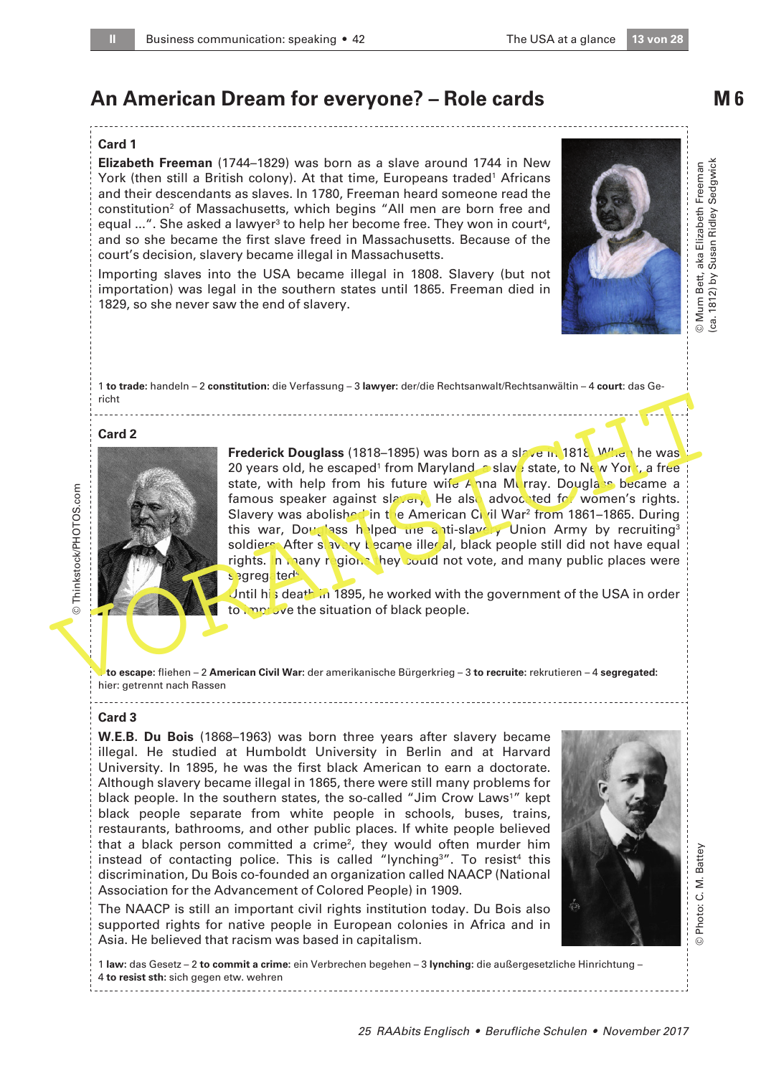# **An American Dream for everyone? – Role cards**

#### **Card 1**

**Elizabeth Freeman** (1744–1829) was born as a slave around 1744 in New York (then still a British colony). At that time, Europeans traded<sup>1</sup> Africans and their descendants as slaves. In 1780, Freeman heard someone read the constitution<sup>2</sup> of Massachusetts, which begins "All men are born free and equal ...". She asked a lawyer<sup>3</sup> to help her become free. They won in court<sup>4</sup>, and so she became the first slave freed in Massachusetts. Because of the court's decision, slavery became illegal in Massachusetts.

Importing slaves into the USA became illegal in 1808. Slavery (but not importation) was legal in the southern states until 1865. Freeman died in 1829, so she never saw the end of slavery.

1 **to trade:** handeln – 2 **constitution:** die Verfassung – 3 **lawyer:** der/die Rechtsanwalt/Rechtsanwältin – 4 **court**: das Gericht

#### **Card 2**



Frederick Douglass (1818–1895) was born as a slave in 1818. When he was 20 years old, he escaped<sup>1</sup> from Maryland, a slave state, to New York, a free state, with help from his future wife  $\angle$  nna Murray. Douglass became a famous speaker against slavery. He also advocated for women's rights. Slavery was abolished in the American Civil War<sup>2</sup> from 1861-1865. During this war, Douglass helped the anti-slavely Union Army by recruiting<sup>3</sup> soldiers. After slavery became illegal, black people still did not have equal rights. In many regions hey could not vote, and many public places were segregated<sup>4</sup> Final Card 2<br>
Frederick Douglass (1818–1895) was born as a sl<sub>ow</sub> to in 1816 Wive he was<br>
state, with help from Maryland Calve is a slow state, to Ne w York , a free<br>
state, with help from Maryland Calve is a slow state. T

Jntil his death in 1895, he worked with the government of the USA in order to improve the situation of black people.

1 **to escape:** fliehen – 2 **American Civil War:** der amerikanische Bürgerkrieg – 3 **to recruite:** rekrutieren – 4 **segregated:** hier: getrennt nach Rassen

#### **Card 3**

**W.E.B. Du Bois** (1868–1963) was born three years after slavery became illegal. He studied at Humboldt University in Berlin and at Harvard University. In 1895, he was the first black American to earn a doctorate. Although slavery became illegal in 1865, there were still many problems for black people. In the southern states, the so-called "Jim Crow Laws<sup>1</sup>" kept black people separate from white people in schools, buses, trains, restaurants, bathrooms, and other public places. If white people believed that a black person committed a crime<sup>2</sup>, they would often murder him instead of contacting police. This is called "lynching<sup>3</sup>". To resist<sup>4</sup> this discrimination, Du Bois co-founded an organization called NAACP (National Association for the Advancement of Colored People) in 1909.

The NAACP is still an important civil rights institution today. Du Bois also supported rights for native people in European colonies in Africa and in Asia. He believed that racism was based in capitalism.

1 **law:** das Gesetz – 2 **to commit a crime:** ein Verbrechen begehen – 3 **lynching:** die außergesetzliche Hinrichtung – 4 **to resist sth:** sich gegen etw. wehren



© Photo: C. M. Battey

Photo: C. M. Battey

 $\odot$ 

**M 6**

© Mum Bett, aka Elizabeth Freeman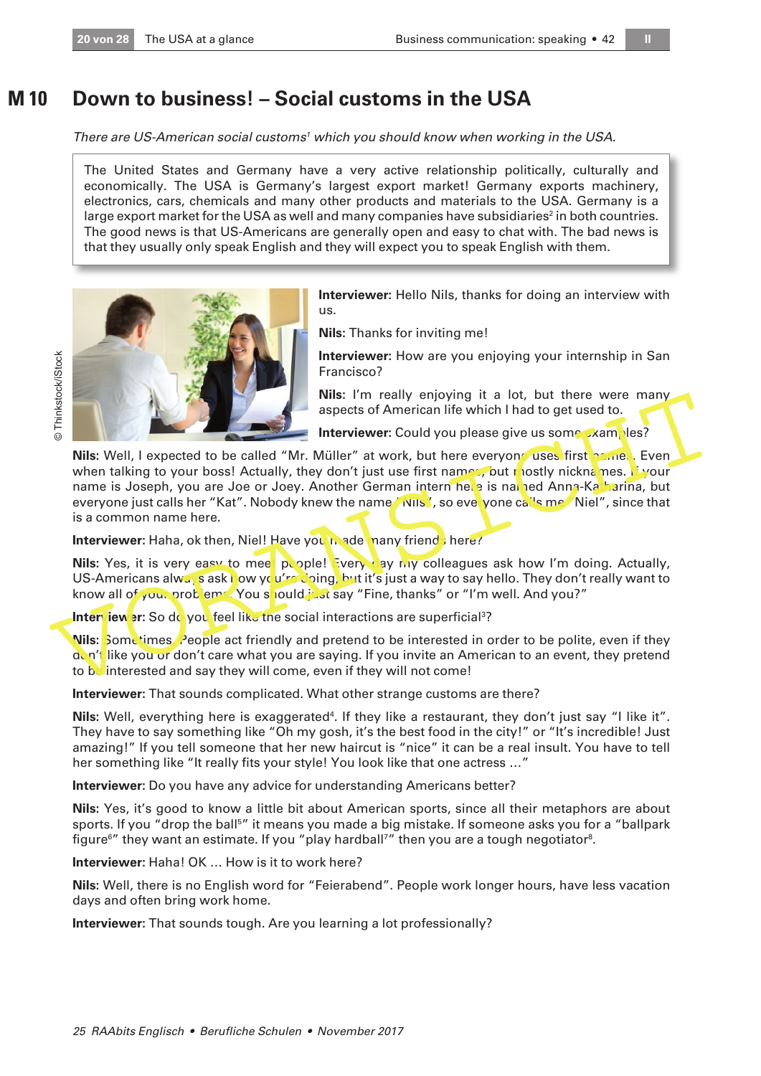#### **Down to business! – Social customs in the USA M 10**

There are US-American social customs<sup>1</sup> which you should know when working in the USA.

The United States and Germany have a very active relationship politically, culturally and economically. The USA is Germany's largest export market! Germany exports machinery, electronics, cars, chemicals and many other products and materials to the USA. Germany is a large export market for the USA as well and many companies have subsidiaries $^2$  in both countries. The good news is that US-Americans are generally open and easy to chat with. The bad news is that they usually only speak English and they will expect you to speak English with them.



us. **Nils:** Thanks for inviting me!

**Interviewer:** How are you enjoying your internship in San Francisco?

**Interviewer:** Hello Nils, thanks for doing an interview with

**Nils:** I'm really enjoying it a lot, but there were many aspects of American life which I had to get used to.

**Interviewer:** Could you please give us some examples?

**Nils:** Well, I expected to be called "Mr. Müller" at work, but here everyone uses first name. Even when talking to your boss! Actually, they don't just use first names, but mostly nicknames. If your name is Joseph, you are Joe or Joey. Another German intern here is named Anna-Katharina, but everyone just calls her "Kat". Nobody knew the name "Nils", so everyone calls me "Niel", since that is a common name here. The state of American sales of American Chief Francisco?<br> **Examples the State Video Control of the State Video Control of the State Video Control of the State Video Control of the State Video Control of the State Video Con** 

**Interviewer:** Haha, ok then, Niel! Have you made many friends here?

**Nils:** Yes, it is very easy to meet people! Every ay my colleagues ask how I'm doing. Actually, US-Americans always ask how you're doing, but it's just a way to say hello. They don't really want to know all of your problems. You should just say "Fine, thanks" or "I'm well. And you?"

Inter iew er: So do you feel like the social interactions are superficial<sup>3</sup>?

**Nils:** Sometimes. People act friendly and pretend to be interested in order to be polite, even if they don't like you or don't care what you are saying. If you invite an American to an event, they pretend to be interested and say they will come, even if they will not come!

**Interviewer:** That sounds complicated. What other strange customs are there?

Nils: Well, everything here is exaggerated<sup>4</sup>. If they like a restaurant, they don't just say "I like it". They have to say something like "Oh my gosh, it's the best food in the city!" or "It's incredible! Just amazing!" If you tell someone that her new haircut is "nice" it can be a real insult. You have to tell her something like "It really fits your style! You look like that one actress …"

**Interviewer:** Do you have any advice for understanding Americans better?

**Nils:** Yes, it's good to know a little bit about American sports, since all their metaphors are about sports. If you "drop the ball<sup>5</sup>" it means you made a big mistake. If someone asks you for a "ballpark figure $\rm^6{}''$  they want an estimate. If you "play hardball?" then you are a tough negotiator $\rm^8$ .

**Interviewer:** Haha! OK … How is it to work here?

**Nils:** Well, there is no English word for "Feierabend". People work longer hours, have less vacation days and often bring work home.

**Interviewer:** That sounds tough. Are you learning a lot professionally?